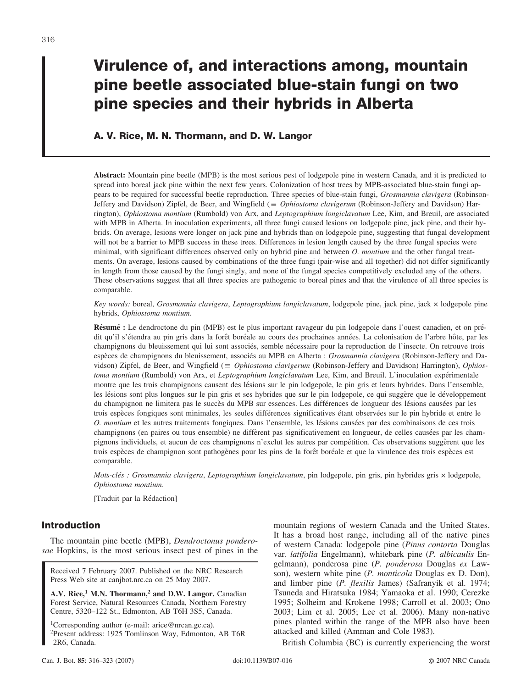# **Virulence of, and interactions among, mountain pine beetle associated blue-stain fungi on two pine species and their hybrids in Alberta**

# **A. V. Rice, M. N. Thormann, and D. W. Langor**

**Abstract:** Mountain pine beetle (MPB) is the most serious pest of lodgepole pine in western Canada, and it is predicted to spread into boreal jack pine within the next few years. Colonization of host trees by MPB-associated blue-stain fungi appears to be required for successful beetle reproduction. Three species of blue-stain fungi, *Grosmannia clavigera* (Robinson-Jeffery and Davidson) Zipfel, de Beer, and Wingfield (= *Ophiostoma clavigerum* (Robinson-Jeffery and Davidson) Harrington), *Ophiostoma montium* (Rumbold) von Arx, and *Leptographium longiclavatum* Lee, Kim, and Breuil, are associated with MPB in Alberta. In inoculation experiments, all three fungi caused lesions on lodgepole pine, jack pine, and their hybrids. On average, lesions were longer on jack pine and hybrids than on lodgepole pine, suggesting that fungal development will not be a barrier to MPB success in these trees. Differences in lesion length caused by the three fungal species were minimal, with significant differences observed only on hybrid pine and between *O. montium* and the other fungal treatments. On average, lesions caused by combinations of the three fungi (pair-wise and all together) did not differ significantly in length from those caused by the fungi singly, and none of the fungal species competitively excluded any of the others. These observations suggest that all three species are pathogenic to boreal pines and that the virulence of all three species is comparable.

*Key words:* boreal, *Grosmannia clavigera*, *Leptographium longiclavatum*, lodgepole pine, jack pine, jack x lodgepole pine hybrids, *Ophiostoma montium*.

Résumé : Le dendroctone du pin (MPB) est le plus important ravageur du pin lodgepole dans l'ouest canadien, et on prédit qu'il s'étendra au pin gris dans la forêt boréale au cours des prochaines années. La colonisation de l'arbre hôte, par les champignons du bleuissement qui lui sont associés, semble nécessaire pour la reproduction de l'insecte. On retrouve trois espèces de champignons du bleuissement, associés au MPB en Alberta : *Grosmannia clavigera* (Robinson-Jeffery and Davidson) Zipfel, de Beer, and Wingfield (= *Ophiostoma clavigerum* (Robinson-Jeffery and Davidson) Harrington), *Ophios*toma montium (Rumbold) von Arx, et Leptographium longiclavatum Lee, Kim, and Breuil. L'inoculation expérimentale montre que les trois champignons causent des lésions sur le pin lodgepole, le pin gris et leurs hybrides. Dans l'ensemble, les lésions sont plus longues sur le pin gris et ses hybrides que sur le pin lodgepole, ce qui suggère que le développement du champignon ne limitera pas le succès du MPB sur essences. Les différences de longueur des lésions causées par les trois espèces fongiques sont minimales, les seules différences significatives étant observées sur le pin hybride et entre le *O. montium* et les autres traitements fongiques. Dans l'ensemble, les lésions causées par des combinaisons de ces trois champignons (en paires ou tous ensemble) ne diffèrent pas significativement en longueur, de celles causées par les champignons individuels, et aucun de ces champignons n'exclut les autres par compétition. Ces observations suggèrent que les trois espèces de champignon sont pathogènes pour les pins de la forêt boréale et que la virulence des trois espèces est comparable.

*Mots-clés : Grosmannia clavigera, Leptographium longiclavatum*, pin lodgepole, pin gris, pin hybrides gris × lodgepole, *Ophiostoma montium*.

[Traduit par la Rédaction]

# **Introduction**

The mountain pine beetle (MPB), *Dendroctonus ponderosae* Hopkins, is the most serious insect pest of pines in the

Received 7 February 2007. Published on the NRC Research Press Web site at canjbot.nrc.ca on 25 May 2007.

**A.V. Rice,<sup>1</sup> M.N. Thormann,2 and D.W. Langor.** Canadian Forest Service, Natural Resources Canada, Northern Forestry Centre, 5320–122 St., Edmonton, AB T6H 3S5, Canada.

1Corresponding author (e-mail: arice@nrcan.gc.ca). 2Present address: 1925 Tomlinson Way, Edmonton, AB T6R 2R6, Canada.

mountain regions of western Canada and the United States. It has a broad host range, including all of the native pines of western Canada: lodgepole pine (*Pinus contorta* Douglas var. *latifolia* Engelmann), whitebark pine (*P. albicaulis* Engelmann), ponderosa pine (*P. ponderosa* Douglas *ex* Lawson), western white pine (*P. monticola* Douglas ex D. Don), and limber pine (*P. flexilis* James) (Safranyik et al. 1974; Tsuneda and Hiratsuka 1984; Yamaoka et al. 1990; Cerezke 1995; Solheim and Krokene 1998; Carroll et al. 2003; Ono 2003; Lim et al. 2005; Lee et al. 2006). Many non-native pines planted within the range of the MPB also have been attacked and killed (Amman and Cole 1983).

British Columbia (BC) is currently experiencing the worst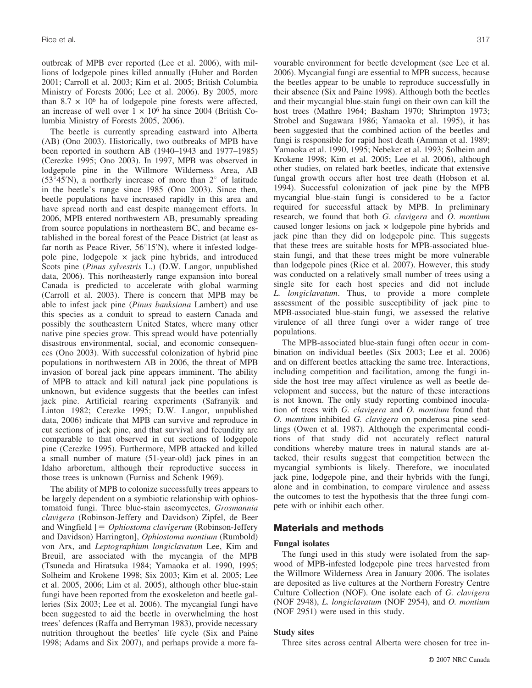outbreak of MPB ever reported (Lee et al. 2006), with millions of lodgepole pines killed annually (Huber and Borden 2001; Carroll et al. 2003; Kim et al. 2005; British Columbia Ministry of Forests 2006; Lee et al. 2006). By 2005, more than 8.7  $\times$  10<sup>6</sup> ha of lodgepole pine forests were affected, an increase of well over  $1 \times 10^6$  ha since 2004 (British Columbia Ministry of Forests 2005, 2006).

The beetle is currently spreading eastward into Alberta (AB) (Ono 2003). Historically, two outbreaks of MPB have been reported in southern AB (1940–1943 and 1977–1985) (Cerezke 1995; Ono 2003). In 1997, MPB was observed in lodgepole pine in the Willmore Wilderness Area, AB  $(53°45'N)$ , a northerly increase of more than  $2°$  of latitude in the beetle's range since 1985 (Ono 2003). Since then, beetle populations have increased rapidly in this area and have spread north and east despite management efforts. In 2006, MPB entered northwestern AB, presumably spreading from source populations in northeastern BC, and became established in the boreal forest of the Peace District (at least as far north as Peace River,  $56^{\circ}15'N$ ), where it infested lodgepole pine, lodgepole  $\times$  jack pine hybrids, and introduced Scots pine (*Pinus sylvestris* L.) (D.W. Langor, unpublished data, 2006). This northeasterly range expansion into boreal Canada is predicted to accelerate with global warming (Carroll et al. 2003). There is concern that MPB may be able to infest jack pine (*Pinus banksiana* Lambert) and use this species as a conduit to spread to eastern Canada and possibly the southeastern United States, where many other native pine species grow. This spread would have potentially disastrous environmental, social, and economic consequences (Ono 2003). With successful colonization of hybrid pine populations in northwestern AB in 2006, the threat of MPB invasion of boreal jack pine appears imminent. The ability of MPB to attack and kill natural jack pine populations is unknown, but evidence suggests that the beetles can infest jack pine. Artificial rearing experiments (Safranyik and Linton 1982; Cerezke 1995; D.W. Langor, unpublished data, 2006) indicate that MPB can survive and reproduce in cut sections of jack pine, and that survival and fecundity are comparable to that observed in cut sections of lodgepole pine (Cerezke 1995). Furthermore, MPB attacked and killed a small number of mature (51-year-old) jack pines in an Idaho arboretum, although their reproductive success in those trees is unknown (Furniss and Schenk 1969).

The ability of MPB to colonize successfully trees appears to be largely dependent on a symbiotic relationship with ophiostomatoid fungi. Three blue-stain ascomycetes, *Grosmannia clavigera* (Robinson-Jeffery and Davidson) Zipfel, de Beer and Wingfield  $\equiv$  *Ophiostoma clavigerum* (Robinson-Jeffery and Davidson) Harrington], *Ophiostoma montium* (Rumbold) von Arx, and *Leptographium longiclavatum* Lee, Kim and Breuil, are associated with the mycangia of the MPB (Tsuneda and Hiratsuka 1984; Yamaoka et al. 1990, 1995; Solheim and Krokene 1998; Six 2003; Kim et al. 2005; Lee et al. 2005, 2006; Lim et al. 2005), although other blue-stain fungi have been reported from the exoskeleton and beetle galleries (Six 2003; Lee et al. 2006). The mycangial fungi have been suggested to aid the beetle in overwhelming the host trees' defences (Raffa and Berryman 1983), provide necessary nutrition throughout the beetles' life cycle (Six and Paine 1998; Adams and Six 2007), and perhaps provide a more favourable environment for beetle development (see Lee et al. 2006). Mycangial fungi are essential to MPB success, because the beetles appear to be unable to reproduce successfully in their absence (Six and Paine 1998). Although both the beetles and their mycangial blue-stain fungi on their own can kill the host trees (Mathre 1964; Basham 1970; Shrimpton 1973; Strobel and Sugawara 1986; Yamaoka et al. 1995), it has been suggested that the combined action of the beetles and fungi is responsible for rapid host death (Amman et al. 1989; Yamaoka et al. 1990, 1995; Nebeker et al. 1993; Solheim and Krokene 1998; Kim et al. 2005; Lee et al. 2006), although other studies, on related bark beetles, indicate that extensive fungal growth occurs after host tree death (Hobson et al. 1994). Successful colonization of jack pine by the MPB mycangial blue-stain fungi is considered to be a factor required for successful attack by MPB. In preliminary research, we found that both *G. clavigera* and *O. montium* caused longer lesions on jack  $\times$  lodgepole pine hybrids and jack pine than they did on lodgepole pine. This suggests that these trees are suitable hosts for MPB-associated bluestain fungi, and that these trees might be more vulnerable than lodgepole pines (Rice et al. 2007). However, this study was conducted on a relatively small number of trees using a single site for each host species and did not include *L. longiclavatum*. Thus, to provide a more complete assessment of the possible susceptibility of jack pine to MPB-associated blue-stain fungi, we assessed the relative virulence of all three fungi over a wider range of tree populations.

The MPB-associated blue-stain fungi often occur in combination on individual beetles (Six 2003; Lee et al. 2006) and on different beetles attacking the same tree. Interactions, including competition and facilitation, among the fungi inside the host tree may affect virulence as well as beetle development and success, but the nature of these interactions is not known. The only study reporting combined inoculation of trees with *G. clavigera* and *O. montium* found that *O. montium* inhibited *G. clavigera* on ponderosa pine seedlings (Owen et al. 1987). Although the experimental conditions of that study did not accurately reflect natural conditions whereby mature trees in natural stands are attacked, their results suggest that competition between the mycangial symbionts is likely. Therefore, we inoculated jack pine, lodgepole pine, and their hybrids with the fungi, alone and in combination, to compare virulence and assess the outcomes to test the hypothesis that the three fungi compete with or inhibit each other.

## **Materials and methods**

# **Fungal isolates**

The fungi used in this study were isolated from the sapwood of MPB-infested lodgepole pine trees harvested from the Willmore Wilderness Area in January 2006. The isolates are deposited as live cultures at the Northern Forestry Centre Culture Collection (NOF). One isolate each of *G. clavigera* (NOF 2948), *L. longiclavatum* (NOF 2954), and *O. montium* (NOF 2951) were used in this study.

#### **Study sites**

Three sites across central Alberta were chosen for tree in-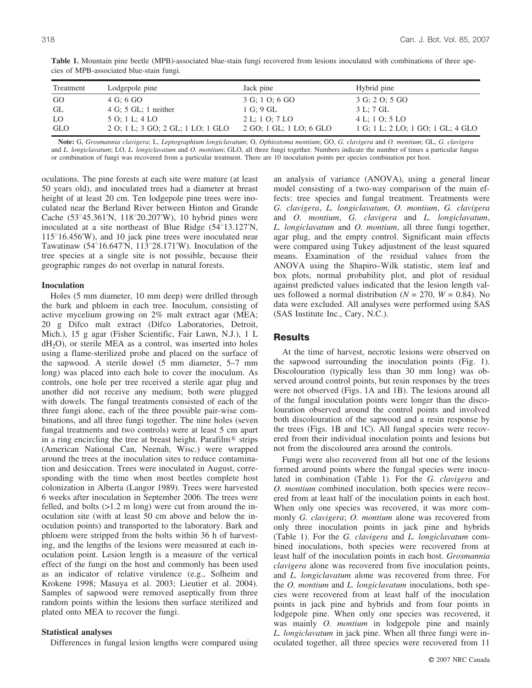| Treatment | Lodgepole pine                    | Jack pine               | Hybrid pine                       |
|-----------|-----------------------------------|-------------------------|-----------------------------------|
| GO        | 4 G: 6 GO                         | 3 G: 1 O: 6 GO          | 3 G: 2 O: 5 GO                    |
| GL        | $4 G$ ; $5 GL$ ; $1$ neither      | 1 G: 9 GL               | 3 L: 7 GL                         |
| LO        | 5 O; 1 L; 4 LO                    | 2 L; 1 O; 7 L0          | 4 L; 1 O; 5 LO                    |
| GLO       | 2 0; 1 L; 3 GO; 2 GL; 1 LO; 1 GLO | 2 GO; 1 GL; 1 LO; 6 GLO | 1 G; 1 L; 2 LO; 1 GO; 1 GL; 4 GLO |

**Table 1.** Mountain pine beetle (MPB)-associated blue-stain fungi recovered from lesions inoculated with combinations of three species of MPB-associated blue-stain fungi.

**Note:** G, *Grosmannia clavigera*; L, *Leptographium longiclavatum*; O, *Ophiostoma montium*; GO, *G. clavigera* and *O. montium*; GL, *G. clavigera* and *L. longiclavatum*; LO, *L. longiclavatum* and *O. montium*; GLO, all three fungi together. Numbers indicate the number of times a particular fungus or combination of fungi was recovered from a particular treatment. There are 10 inoculation points per species combination per host.

oculations. The pine forests at each site were mature (at least 50 years old), and inoculated trees had a diameter at breast height of at least 20 cm. Ten lodgepole pine trees were inoculated near the Berland River between Hinton and Grande Cache  $(53^{\circ}45.361'N, 118^{\circ}20.207'W)$ , 10 hybrid pines were inoculated at a site northeast of Blue Ridge  $(54^{\circ}13.127'N,$  $115^{\circ}16.456'$ W), and 10 jack pine trees were inoculated near Tawatinaw (54°16.647'N, 113°28.171'W). Inoculation of the tree species at a single site is not possible, because their geographic ranges do not overlap in natural forests.

#### **Inoculation**

Holes (5 mm diameter, 10 mm deep) were drilled through the bark and phloem in each tree. Inoculum, consisting of active mycelium growing on 2% malt extract agar (MEA; 20 g Difco malt extract (Difco Laboratories, Detroit, Mich.), 15 g agar (Fisher Scientific, Fair Lawn, N.J.), 1 L  $dH<sub>2</sub>O$ , or sterile MEA as a control, was inserted into holes using a flame-sterilized probe and placed on the surface of the sapwood. A sterile dowel (5 mm diameter, 5–7 mm long) was placed into each hole to cover the inoculum. As controls, one hole per tree received a sterile agar plug and another did not receive any medium; both were plugged with dowels. The fungal treatments consisted of each of the three fungi alone, each of the three possible pair-wise combinations, and all three fungi together. The nine holes (seven fungal treatments and two controls) were at least 5 cm apart in a ring encircling the tree at breast height. Parafilm<sup>®</sup> strips (American National Can, Neenah, Wisc.) were wrapped around the trees at the inoculation sites to reduce contamination and desiccation. Trees were inoculated in August, corresponding with the time when most beetles complete host colonization in Alberta (Langor 1989). Trees were harvested 6 weeks after inoculation in September 2006. The trees were felled, and bolts  $(>1.2 \text{ m long})$  were cut from around the inoculation site (with at least 50 cm above and below the inoculation points) and transported to the laboratory. Bark and phloem were stripped from the bolts within 36 h of harvesting, and the lengths of the lesions were measured at each inoculation point. Lesion length is a measure of the vertical effect of the fungi on the host and commonly has been used as an indicator of relative virulence (e.g., Solheim and Krokene 1998; Masuya et al. 2003; Lieutier et al. 2004). Samples of sapwood were removed aseptically from three random points within the lesions then surface sterilized and plated onto MEA to recover the fungi.

#### **Statistical analyses**

Differences in fungal lesion lengths were compared using

an analysis of variance (ANOVA), using a general linear model consisting of a two-way comparison of the main effects: tree species and fungal treatment. Treatments were *G. clavigera*, *L. longiclavatum*, *O. montium*, *G. clavigera* and *O. montium*, *G. clavigera* and *L. longiclavatum*, *L. longiclavatum* and *O. montium*, all three fungi together, agar plug, and the empty control. Significant main effects were compared using Tukey adjustment of the least squared means. Examination of the residual values from the ANOVA using the Shapiro–Wilk statistic, stem leaf and box plots, normal probability plot, and plot of residual against predicted values indicated that the lesion length values followed a normal distribution ( $N = 270$ ,  $W = 0.84$ ). No data were excluded. All analyses were performed using SAS (SAS Institute Inc., Cary, N.C.).

## **Results**

At the time of harvest, necrotic lesions were observed on the sapwood surrounding the inoculation points (Fig. 1). Discolouration (typically less than 30 mm long) was observed around control points, but resin responses by the trees were not observed (Figs. 1A and 1B). The lesions around all of the fungal inoculation points were longer than the discolouration observed around the control points and involved both discolouration of the sapwood and a resin response by the trees (Figs. 1B and 1C). All fungal species were recovered from their individual inoculation points and lesions but not from the discoloured area around the controls.

Fungi were also recovered from all but one of the lesions formed around points where the fungal species were inoculated in combination (Table 1). For the *G. clavigera* and *O. montium* combined inoculation, both species were recovered from at least half of the inoculation points in each host. When only one species was recovered, it was more commonly *G. clavigera*; *O. montium* alone was recovered from only three inoculation points in jack pine and hybrids (Table 1). For the *G. clavigera* and *L. longiclavatum* combined inoculations, both species were recovered from at least half of the inoculation points in each host. *Grosmannia clavigera* alone was recovered from five inoculation points, and *L. longiclavatum* alone was recovered from three. For the *O. montium* and *L. longiclavatum* inoculations, both species were recovered from at least half of the inoculation points in jack pine and hybrids and from four points in lodgepole pine. When only one species was recovered, it was mainly *O. montium* in lodgepole pine and mainly *L. longiclavatum* in jack pine. When all three fungi were inoculated together, all three species were recovered from 11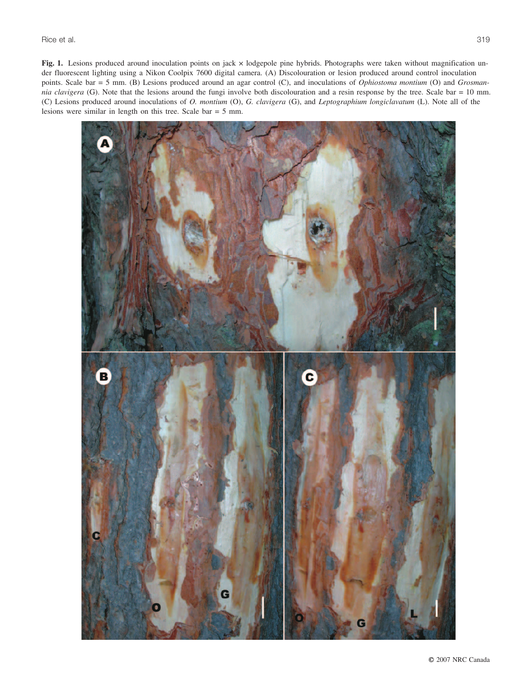Fig. 1. Lesions produced around inoculation points on jack x lodgepole pine hybrids. Photographs were taken without magnification under fluorescent lighting using a Nikon Coolpix 7600 digital camera. (A) Discolouration or lesion produced around control inoculation points. Scale bar = 5 mm. (B) Lesions produced around an agar control (C), and inoculations of *Ophiostoma montium* (O) and *Grosmannia clavigera* (G). Note that the lesions around the fungi involve both discolouration and a resin response by the tree. Scale bar = 10 mm. (C) Lesions produced around inoculations of *O. montium* (O), *G. clavigera* (G), and *Leptographium longiclavatum* (L). Note all of the lesions were similar in length on this tree. Scale bar = 5 mm.

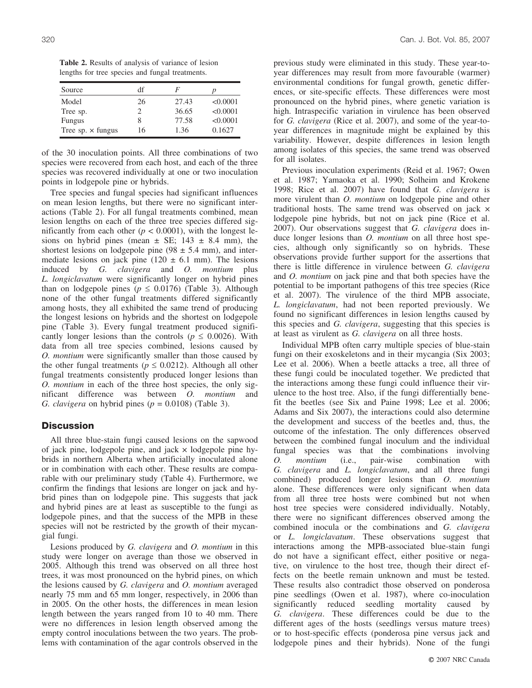**Table 2.** Results of analysis of variance of lesion lengths for tree species and fungal treatments.

| Source                   | df | F     |          |
|--------------------------|----|-------|----------|
| Model                    | 26 | 27.43 | < 0.0001 |
| Tree sp.                 |    | 36.65 | < 0.0001 |
| Fungus                   |    | 77.58 | < 0.0001 |
| Tree sp. $\times$ fungus | 16 | 1.36  | 0.1627   |

of the 30 inoculation points. All three combinations of two species were recovered from each host, and each of the three species was recovered individually at one or two inoculation points in lodgepole pine or hybrids.

Tree species and fungal species had significant influences on mean lesion lengths, but there were no significant interactions (Table 2). For all fungal treatments combined, mean lesion lengths on each of the three tree species differed significantly from each other ( $p < 0.0001$ ), with the longest lesions on hybrid pines (mean  $\pm$  SE; 143  $\pm$  8.4 mm), the shortest lesions on lodgepole pine  $(98 \pm 5.4 \text{ mm})$ , and intermediate lesions on jack pine (120  $\pm$  6.1 mm). The lesions induced by *G. clavigera* and *O. montium* plus *L. longiclavatum* were significantly longer on hybrid pines than on lodgepole pines ( $p \leq 0.0176$ ) (Table 3). Although none of the other fungal treatments differed significantly among hosts, they all exhibited the same trend of producing the longest lesions on hybrids and the shortest on lodgepole pine (Table 3). Every fungal treatment produced significantly longer lesions than the controls ( $p \le 0.0026$ ). With data from all tree species combined, lesions caused by *O. montium* were significantly smaller than those caused by the other fungal treatments ( $p \le 0.0212$ ). Although all other fungal treatments consistently produced longer lesions than *O. montium* in each of the three host species, the only significant difference was between *O. montium* and *G. clavigera* on hybrid pines ( $p = 0.0108$ ) (Table 3).

## **Discussion**

All three blue-stain fungi caused lesions on the sapwood of jack pine, lodgepole pine, and jack  $\times$  lodgepole pine hybrids in northern Alberta when artificially inoculated alone or in combination with each other. These results are comparable with our preliminary study (Table 4). Furthermore, we confirm the findings that lesions are longer on jack and hybrid pines than on lodgepole pine. This suggests that jack and hybrid pines are at least as susceptible to the fungi as lodgepole pines, and that the success of the MPB in these species will not be restricted by the growth of their mycangial fungi.

Lesions produced by *G. clavigera* and *O. montium* in this study were longer on average than those we observed in 2005. Although this trend was observed on all three host trees, it was most pronounced on the hybrid pines, on which the lesions caused by *G. clavigera* and *O. montium* averaged nearly 75 mm and 65 mm longer, respectively, in 2006 than in 2005. On the other hosts, the differences in mean lesion length between the years ranged from 10 to 40 mm. There were no differences in lesion length observed among the empty control inoculations between the two years. The problems with contamination of the agar controls observed in the

previous study were eliminated in this study. These year-toyear differences may result from more favourable (warmer) environmental conditions for fungal growth, genetic differences, or site-specific effects. These differences were most pronounced on the hybrid pines, where genetic variation is high. Intraspecific variation in virulence has been observed for *G. clavigera* (Rice et al. 2007), and some of the year-toyear differences in magnitude might be explained by this variability. However, despite differences in lesion length among isolates of this species, the same trend was observed for all isolates.

Previous inoculation experiments (Reid et al. 1967; Owen et al. 1987; Yamaoka et al. 1990; Solheim and Krokene 1998; Rice et al. 2007) have found that *G. clavigera* is more virulent than *O. montium* on lodgepole pine and other traditional hosts. The same trend was observed on jack lodgepole pine hybrids, but not on jack pine (Rice et al. 2007). Our observations suggest that *G. clavigera* does induce longer lesions than *O. montium* on all three host species, although only significantly so on hybrids. These observations provide further support for the assertions that there is little difference in virulence between *G. clavigera* and *O. montium* on jack pine and that both species have the potential to be important pathogens of this tree species (Rice et al. 2007). The virulence of the third MPB associate, *L. longiclavatum*, had not been reported previously. We found no significant differences in lesion lengths caused by this species and *G. clavigera*, suggesting that this species is at least as virulent as *G. clavigera* on all three hosts.

Individual MPB often carry multiple species of blue-stain fungi on their exoskeletons and in their mycangia (Six 2003; Lee et al. 2006). When a beetle attacks a tree, all three of these fungi could be inoculated together. We predicted that the interactions among these fungi could influence their virulence to the host tree. Also, if the fungi differentially benefit the beetles (see Six and Paine 1998; Lee et al. 2006; Adams and Six 2007), the interactions could also determine the development and success of the beetles and, thus, the outcome of the infestation. The only differences observed between the combined fungal inoculum and the individual fungal species was that the combinations involving *O. montium* (i.e., pair-wise combination with *G. clavigera* and *L. longiclavatum*, and all three fungi combined) produced longer lesions than *O. montium* alone. These differences were only significant when data from all three tree hosts were combined but not when host tree species were considered individually. Notably, there were no significant differences observed among the combined inocula or the combinations and *G. clavigera* or *L. longiclavatum*. These observations suggest that interactions among the MPB-associated blue-stain fungi do not have a significant effect, either positive or negative, on virulence to the host tree, though their direct effects on the beetle remain unknown and must be tested. These results also contradict those observed on ponderosa pine seedlings (Owen et al. 1987), where co-inoculation significantly reduced seedling mortality caused by *G. clavigera*. These differences could be due to the different ages of the hosts (seedlings versus mature trees) or to host-specific effects (ponderosa pine versus jack and lodgepole pines and their hybrids). None of the fungi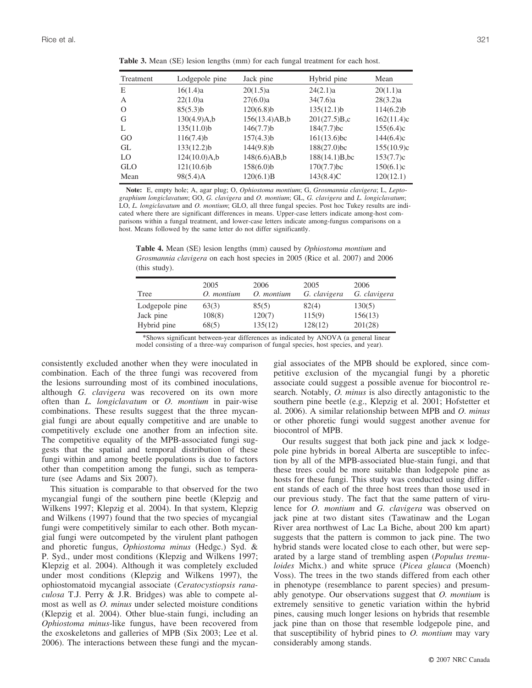| Treatment  | Lodgepole pine  | Jack pine     | Hybrid pine      | Mean       |
|------------|-----------------|---------------|------------------|------------|
| E          | 16(1.4)a        | 20(1.5)a      | 24(2.1)a         | 20(1.1)a   |
| A          | 22(1.0)a        | 27(6.0)a      | 34(7.6)a         | 28(3.2)a   |
| $\Omega$   | $85(5.3)$ b     | $120(6.8)$ b  | 135(12.1)b       | 114(6.2)b  |
| G          | 130(4.9)A,b     | 156(13.4)AB,b | 201(27.5)B,c     | 162(11.4)c |
| L          | $135(11.0)$ b   | $146(7.7)$ b  | $184(7.7)$ bc    | 155(6.4)c  |
| GO.        | $116(7.4)$ b    | $157(4.3)$ b  | $161(13.6)$ bc   | 144(6.4)c  |
| GL         | 133(12.2)b      | $144(9.8)$ b  | $188(27.0)$ bc   | 155(10.9)c |
| LO         | $124(10.0)$ A,b | 148(6.6)AB,b  | $188(14.1)B$ ,bc | 153(7.7)c  |
| <b>GLO</b> | 121(10.6)b      | $158(6.0)$ b  | $170(7.7)$ bc    | 150(6.1)c  |
| Mean       | 98(5.4)A        | 120(6.1)B     | 143(8.4)C        | 120(12.1)  |

**Table 3.** Mean (SE) lesion lengths (mm) for each fungal treatment for each host.

**Note:** E, empty hole; A, agar plug; O, *Ophiostoma montium*; G, *Grosmannia clavigera*; L, *Leptographium longiclavatum*; GO, *G. clavigera* and *O. montium*; GL, *G. clavigera* and *L. longiclavatum*; LO, *L. longiclavatum* and *O. montium*; GLO, all three fungal species. Post hoc Tukey results are indicated where there are significant differences in means. Upper-case letters indicate among-host comparisons within a fungal treatment, and lower-case letters indicate among-fungus comparisons on a host. Means followed by the same letter do not differ significantly.

**Table 4.** Mean (SE) lesion lengths (mm) caused by *Ophiostoma montium* and *Grosmannia clavigera* on each host species in 2005 (Rice et al. 2007) and 2006 (this study).

| Tree           | 2005<br>O. montium | 2006<br>O. montium | 2005<br>G. clavigera | 2006<br>G. clavigera |
|----------------|--------------------|--------------------|----------------------|----------------------|
| Lodgepole pine | 63(3)              | 85(5)              | 82(4)                | 130(5)               |
| Jack pine      | 108(8)             | 120(7)             | 115(9)               | 156(13)              |
| Hybrid pine    | 68(5)              | 135(12)            | 128(12)              | 201(28)              |

*\**Shows significant between-year differences as indicated by ANOVA (a general linear model consisting of a three-way comparison of fungal species, host species, and year).

consistently excluded another when they were inoculated in combination. Each of the three fungi was recovered from the lesions surrounding most of its combined inoculations, although *G. clavigera* was recovered on its own more often than *L. longiclavatum* or *O. montium* in pair-wise combinations. These results suggest that the three mycangial fungi are about equally competitive and are unable to competitively exclude one another from an infection site. The competitive equality of the MPB-associated fungi suggests that the spatial and temporal distribution of these fungi within and among beetle populations is due to factors other than competition among the fungi, such as temperature (see Adams and Six 2007).

This situation is comparable to that observed for the two mycangial fungi of the southern pine beetle (Klepzig and Wilkens 1997; Klepzig et al. 2004). In that system, Klepzig and Wilkens (1997) found that the two species of mycangial fungi were competitively similar to each other. Both mycangial fungi were outcompeted by the virulent plant pathogen and phoretic fungus, *Ophiostoma minus* (Hedgc.) Syd. & P. Syd., under most conditions (Klepzig and Wilkens 1997; Klepzig et al. 2004). Although it was completely excluded under most conditions (Klepzig and Wilkens 1997), the ophiostomatoid mycangial associate (*Ceratocystiopsis ranaculosa* T.J. Perry & J.R. Bridges) was able to compete almost as well as *O. minus* under selected moisture conditions (Klepzig et al. 2004). Other blue-stain fungi, including an *Ophiostoma minus*-like fungus, have been recovered from the exoskeletons and galleries of MPB (Six 2003; Lee et al. 2006). The interactions between these fungi and the mycangial associates of the MPB should be explored, since competitive exclusion of the mycangial fungi by a phoretic associate could suggest a possible avenue for biocontrol research. Notably, *O. minus* is also directly antagonistic to the southern pine beetle (e.g., Klepzig et al. 2001; Hofstetter et al. 2006). A similar relationship between MPB and *O. minus* or other phoretic fungi would suggest another avenue for biocontrol of MPB.

Our results suggest that both jack pine and jack  $\times$  lodgepole pine hybrids in boreal Alberta are susceptible to infection by all of the MPB-associated blue-stain fungi, and that these trees could be more suitable than lodgepole pine as hosts for these fungi. This study was conducted using different stands of each of the three host trees than those used in our previous study. The fact that the same pattern of virulence for *O. montium* and *G. clavigera* was observed on jack pine at two distant sites (Tawatinaw and the Logan River area northwest of Lac La Biche, about 200 km apart) suggests that the pattern is common to jack pine. The two hybrid stands were located close to each other, but were separated by a large stand of trembling aspen (*Populus tremuloides* Michx.) and white spruce (*Picea glauca* (Moench) Voss). The trees in the two stands differed from each other in phenotype (resemblance to parent species) and presumably genotype. Our observations suggest that *O. montium* is extremely sensitive to genetic variation within the hybrid pines, causing much longer lesions on hybrids that resemble jack pine than on those that resemble lodgepole pine, and that susceptibility of hybrid pines to *O. montium* may vary considerably among stands.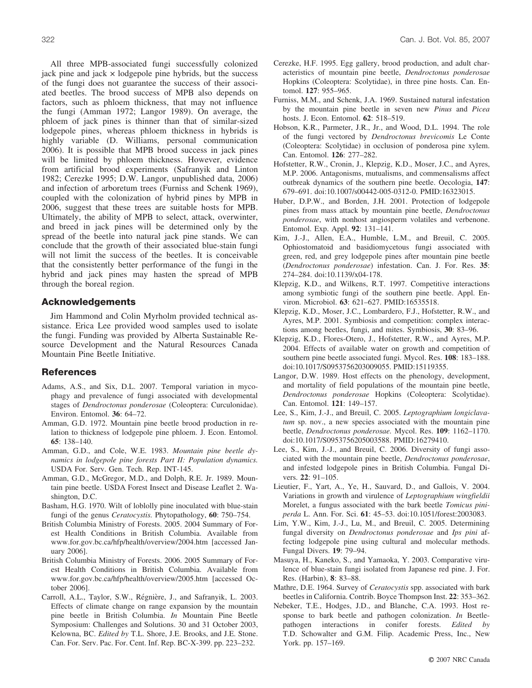All three MPB-associated fungi successfully colonized jack pine and jack  $\times$  lodgepole pine hybrids, but the success of the fungi does not guarantee the success of their associated beetles. The brood success of MPB also depends on factors, such as phloem thickness, that may not influence the fungi (Amman 1972; Langor 1989). On average, the phloem of jack pines is thinner than that of similar-sized lodgepole pines, whereas phloem thickness in hybrids is highly variable (D. Williams, personal communication 2006). It is possible that MPB brood success in jack pines will be limited by phloem thickness. However, evidence from artificial brood experiments (Safranyik and Linton 1982; Cerezke 1995; D.W. Langor, unpublished data, 2006) and infection of arboretum trees (Furniss and Schenk 1969), coupled with the colonization of hybrid pines by MPB in 2006, suggest that these trees are suitable hosts for MPB. Ultimately, the ability of MPB to select, attack, overwinter, and breed in jack pines will be determined only by the spread of the beetle into natural jack pine stands. We can conclude that the growth of their associated blue-stain fungi will not limit the success of the beetles. It is conceivable that the consistently better performance of the fungi in the hybrid and jack pines may hasten the spread of MPB through the boreal region.

# **Acknowledgements**

Jim Hammond and Colin Myrholm provided technical assistance. Erica Lee provided wood samples used to isolate the fungi. Funding was provided by Alberta Sustainable Resource Development and the Natural Resources Canada Mountain Pine Beetle Initiative.

# **References**

- Adams, A.S., and Six, D.L. 2007. Temporal variation in mycophagy and prevalence of fungi associated with developmental stages of *Dendroctonus ponderosae* (Coleoptera: Curculonidae). Environ. Entomol. **36**: 64–72.
- Amman, G.D. 1972. Mountain pine beetle brood production in relation to thickness of lodgepole pine phloem. J. Econ. Entomol. **65**: 138–140.
- Amman, G.D., and Cole, W.E. 1983. *Mountain pine beetle dynamics in lodgepole pine forests Part II: Population dynamics.* USDA For. Serv. Gen. Tech. Rep. INT-145.
- Amman, G.D., McGregor, M.D., and Dolph, R.E. Jr. 1989. Mountain pine beetle. USDA Forest Insect and Disease Leaflet 2. Washington, D.C.
- Basham, H.G. 1970. Wilt of loblolly pine inoculated with blue-stain fungi of the genus *Ceratocystis.* Phytopathology, **60**: 750–754.
- British Columbia Ministry of Forests. 2005. 2004 Summary of Forest Health Conditions in British Columbia. Available from www.for.gov.bc.ca/hfp/health/overview/2004.htm [accessed January 2006].
- British Columbia Ministry of Forests. 2006. 2005 Summary of Forest Health Conditions in British Columbia. Available from www.for.gov.bc.ca/hfp/health/overview/2005.htm [accessed October 2006].
- Carroll, A.L., Taylor, S.W., Régnière, J., and Safranyik, L. 2003. Effects of climate change on range expansion by the mountain pine beetle in British Columbia. *In* Mountain Pine Beetle Symposium: Challenges and Solutions. 30 and 31 October 2003, Kelowna, BC. *Edited by* T.L. Shore, J.E. Brooks, and J.E. Stone. Can. For. Serv. Pac. For. Cent. Inf. Rep. BC-X-399. pp. 223–232.
- Cerezke, H.F. 1995. Egg gallery, brood production, and adult characteristics of mountain pine beetle, *Dendroctonus ponderosae* Hopkins (Coleoptera: Scolytidae), in three pine hosts. Can. Entomol. **127**: 955–965.
- Furniss, M.M., and Schenk, J.A. 1969. Sustained natural infestation by the mountain pine beetle in seven new *Pinus* and *Picea* hosts. J. Econ. Entomol. **62**: 518–519.
- Hobson, K.R., Parmeter, J.R., Jr., and Wood, D.L. 1994. The role of the fungi vectored by *Dendroctonus brevicomis* Le Conte (Coleoptera: Scolytidae) in occlusion of ponderosa pine xylem. Can. Entomol. **126**: 277–282.
- Hofstetter, R.W., Cronin, J., Klepzig, K.D., Moser, J.C., and Ayres, M.P. 2006. Antagonisms, mutualisms, and commensalisms affect outbreak dynamics of the southern pine beetle. Oecologia, **147**: 679–691. doi:10.1007/s00442-005-0312-0. PMID:16323015.
- Huber, D.P.W., and Borden, J.H. 2001. Protection of lodgepole pines from mass attack by mountain pine beetle, *Dendroctonus ponderosae*, with nonhost angiosperm volatiles and verbenone. Entomol. Exp. Appl. **92**: 131–141.
- Kim, J.-J., Allen, E.A., Humble, L.M., and Breuil, C. 2005. Ophiostomatoid and basidiomycetous fungi associated with green, red, and grey lodgepole pines after mountain pine beetle (*Dendroctonus ponderosae*) infestation. Can. J. For. Res. **35**: 274–284. doi:10.1139/x04-178.
- Klepzig, K.D., and Wilkens, R.T. 1997. Competitive interactions among symbiotic fungi of the southern pine beetle. Appl. Environ. Microbiol. **63**: 621–627. PMID:16535518.
- Klepzig, K.D., Moser, J.C., Lombardero, F.J., Hofstetter, R.W., and Ayres, M.P. 2001. Symbiosis and competition: complex interactions among beetles, fungi, and mites. Symbiosis, **30**: 83–96.
- Klepzig, K.D., Flores-Otero, J., Hofstetter, R.W., and Ayres, M.P. 2004. Effects of available water on growth and competition of southern pine beetle associated fungi. Mycol. Res. **108**: 183–188. doi:10.1017/S0953756203009055. PMID:15119355.
- Langor, D.W. 1989. Host effects on the phenology, development, and mortality of field populations of the mountain pine beetle, *Dendroctonus ponderosae* Hopkins (Coleoptera: Scolytidae). Can. Entomol. **121**: 149–157.
- Lee, S., Kim, J.-J., and Breuil, C. 2005. *Leptographium longiclavatum* sp. nov., a new species associated with the mountain pine beetle, *Dendroctonus ponderosae.* Mycol. Res. **109**: 1162–1170. doi:10.1017/S0953756205003588. PMID:16279410.
- Lee, S., Kim, J.-J., and Breuil, C. 2006. Diversity of fungi associated with the mountain pine beetle, *Dendroctonus ponderosae*, and infested lodgepole pines in British Columbia. Fungal Divers. **22**: 91–105.
- Lieutier, F., Yart, A., Ye, H., Sauvard, D., and Gallois, V. 2004. Variations in growth and virulence of *Leptographium wingfieldii* Morelet, a fungus associated with the bark beetle *Tomicus piniperda* L. Ann. For. Sci. **61**: 45–53. doi:10.1051/forest:2003083.
- Lim, Y.W., Kim, J.-J., Lu, M., and Breuil, C. 2005. Determining fungal diversity on *Dendroctonus ponderosae* and *Ips pini* affecting lodgepole pine using cultural and molecular methods. Fungal Divers. **19**: 79–94.
- Masuya, H., Kaneko, S., and Yamaoka, Y. 2003. Comparative virulence of blue-stain fungi isolated from Japanese red pine. J. For. Res. (Harbin), **8**: 83–88.
- Mathre, D.E. 1964. Survey of *Ceratocystis* spp. associated with bark beetles in California. Contrib. Boyce Thompson Inst. **22**: 353–362.
- Nebeker, T.E., Hodges, J.D., and Blanche, C.A. 1993. Host response to bark beetle and pathogen colonization. *In* Beetlepathogen interactions in conifer forests. *Edited by* T.D. Schowalter and G.M. Filip. Academic Press, Inc., New York. pp. 157–169.